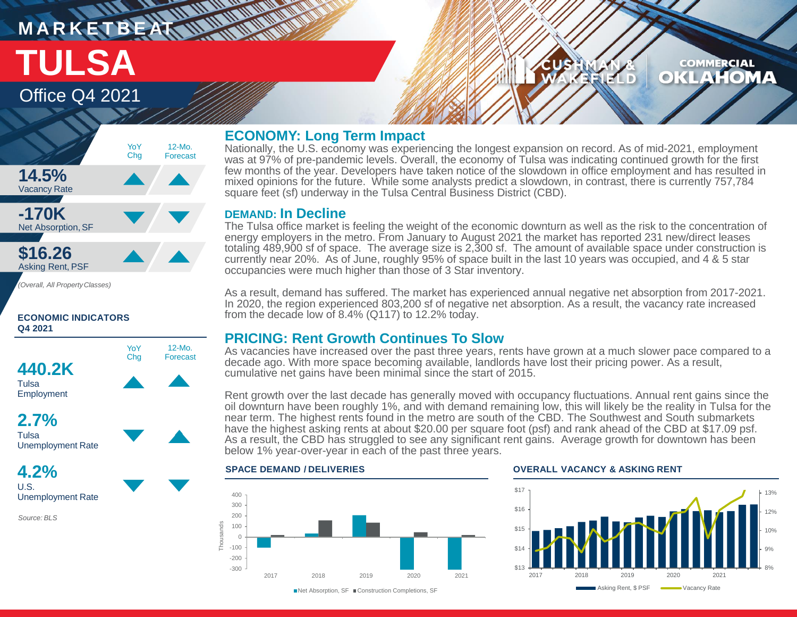# **M A R K E T B E AT** Office Q4 2021 **TULSA**

### **COMMERCIAL** KLAHOM  $\bullet$ II D



### **ECONOMIC INDICATORS Q4 2021**



**4.2%** U.S. Unemployment Rate

*Source: BLS*

## **ECONOMY: Long Term Impact**

Nationally, the U.S. economy was experiencing the longest expansion on record. As of mid-2021, employment was at 97% of pre-pandemic levels. Overall, the economy of Tulsa was indicating continued growth for the first few months of the year. Developers have taken notice of the slowdown in office employment and has resulted in mixed opinions for the future. While some analysts predict a slowdown, in contrast, there is currently 757,784 square feet (sf) underway in the Tulsa Central Business District (CBD).

## **DEMAND: In Decline**

**THE MARKETING** 

The Tulsa office market is feeling the weight of the economic downturn as well as the risk to the concentration of energy employers in the metro. From January to August 2021 the market has reported 231 new/direct leases totaling 489,900 sf of space. The average size is 2,300 sf. The amount of available space under construction is currently near 20%. As of June, roughly 95% of space built in the last 10 years was occupied, and 4 & 5 star occupancies were much higher than those of 3 Star inventory.

As a result, demand has suffered. The market has experienced annual negative net absorption from 2017-2021. In 2020, the region experienced 803,200 sf of negative net absorption. As a result, the vacancy rate increased from the decade low of 8.4% (Q117) to 12.2% today.

# **PRICING: Rent Growth Continues To Slow**

As vacancies have increased over the past three years, rents have grown at a much slower pace compared to a decade ago. With more space becoming available, landlords have lost their pricing power. As a result, cumulative net gains have been minimal since the start of 2015.

Rent growth over the last decade has generally moved with occupancy fluctuations. Annual rent gains since the oil downturn have been roughly 1%, and with demand remaining low, this will likely be the reality in Tulsa for the near term. The highest rents found in the metro are south of the CBD. The Southwest and South submarkets have the highest asking rents at about \$20.00 per square foot (psf) and rank ahead of the CBD at \$17.09 psf. As a result, the CBD has struggled to see any significant rent gains. Average growth for downtown has been below 1% year-over-year in each of the past three years.



### **SPACE DEMAND / DELIVERIES OVERALL VACANCY & ASKING RENT**



■ Net Absorption, SF ■ Construction Completions, SF